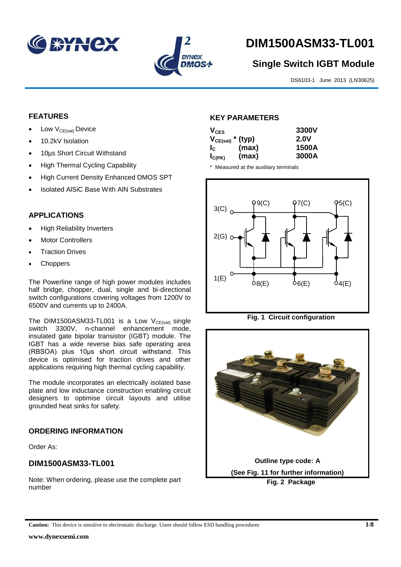



# **DIM1500ASM33-TL001**

# **Single Switch IGBT Module**

DS6103-1 June 2013 (LN30625)

## **FEATURES**

- Low  $V_{CE(sat)}$  Device
- 10.2kV Isolation
- 10µs Short Circuit Withstand
- High Thermal Cycling Capability
- High Current Density Enhanced DMOS SPT
- Isolated AlSiC Base With AlN Substrates

## **APPLICATIONS**

- High Reliability Inverters
- Motor Controllers
- Traction Drives
- Choppers

The Powerline range of high power modules includes half bridge, chopper, dual, single and bi-directional switch configurations covering voltages from 1200V to 6500V and currents up to 2400A.

The DIM1500ASM33-TL001 is a Low  $V_{CE(sat)}$  single switch 3300V, n-channel enhancement mode, insulated gate bipolar transistor (IGBT) module. The IGBT has a wide reverse bias safe operating area (RBSOA) plus 10μs short circuit withstand. This device is optimised for traction drives and other applications requiring high thermal cycling capability.

The module incorporates an electrically isolated base plate and low inductance construction enabling circuit designers to optimise circuit layouts and utilise grounded heat sinks for safety.

# **ORDERING INFORMATION**

Order As:

## **DIM1500ASM33-TL001**

Note: When ordering, please use the complete part number

#### **KEY PARAMETERS**

| $V_{CES}$             |       | 3300V       |
|-----------------------|-------|-------------|
| $V_{CE(sat)}$ * (typ) |       | <b>2.0V</b> |
| $I_c$                 | (max) | 1500A       |
| $I_{C(PK)}$           | (max) | 3000A       |

\* Measured at the auxiliary terminals







**Caution:** This device is sensitive to electrostatic discharge. Users should follow ESD handling procedures **1/8**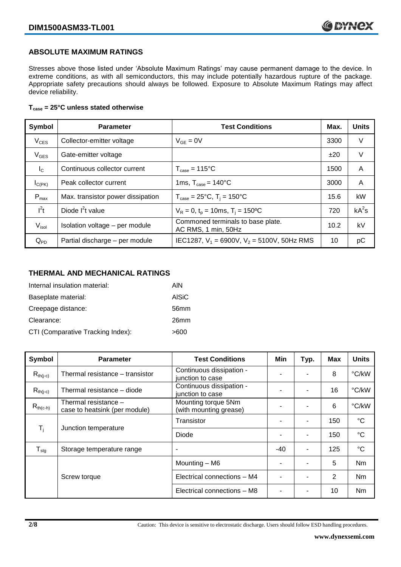#### **ABSOLUTE MAXIMUM RATINGS**

Stresses above those listed under 'Absolute Maximum Ratings' may cause permanent damage to the device. In extreme conditions, as with all semiconductors, this may include potentially hazardous rupture of the package. Appropriate safety precautions should always be followed. Exposure to Absolute Maximum Ratings may affect device reliability.

#### **Tcase = 25°C unless stated otherwise**

| Symbol           | <b>Parameter</b>                  | <b>Test Conditions</b>                                   | Max. | <b>Units</b> |
|------------------|-----------------------------------|----------------------------------------------------------|------|--------------|
| $V_{CES}$        | Collector-emitter voltage         | $V_{GF} = 0V$                                            | 3300 | V            |
| $V_{GES}$        | Gate-emitter voltage              |                                                          | ±20  | V            |
| $I_{\rm C}$      | Continuous collector current      | $T_{\text{case}} = 115^{\circ}C$                         | 1500 | A            |
| $I_{C(PK)}$      | Peak collector current            | 1ms, $T_{\text{case}} = 140^{\circ}$ C                   | 3000 | A            |
| $P_{\text{max}}$ | Max. transistor power dissipation | $T_{\text{case}} = 25^{\circ}C$ , $T_i = 150^{\circ}C$   | 15.6 | kW           |
| $I^2t$           | Diode $I^2t$ value                | $V_R = 0$ , $t_p = 10$ ms, $T_i = 150$ <sup>o</sup> C    | 720  | $kA^2s$      |
| $V_{\sf isol}$   | Isolation voltage - per module    | Commoned terminals to base plate.<br>AC RMS, 1 min, 50Hz | 10.2 | kV           |
| $Q_{PD}$         | Partial discharge - per module    | IEC1287, $V_1$ = 6900V, $V_2$ = 5100V, 50Hz RMS          | 10   | рC           |

#### **THERMAL AND MECHANICAL RATINGS**

| Internal insulation material:     | AIN          |
|-----------------------------------|--------------|
| Baseplate material:               | <b>AISiC</b> |
| Creepage distance:                | 56mm         |
| Clearance:                        | 26mm         |
| CTI (Comparative Tracking Index): | >600         |

| Symbol                     | <b>Parameter</b>                                      | <b>Test Conditions</b>                        | Min   | Typ. | Max | <b>Units</b>    |
|----------------------------|-------------------------------------------------------|-----------------------------------------------|-------|------|-----|-----------------|
| $R_{th(j-c)}$              | Thermal resistance - transistor                       | Continuous dissipation -<br>junction to case  |       |      | 8   | °C/kW           |
| $R_{th(j-c)}$              | Thermal resistance - diode                            | Continuous dissipation -<br>junction to case  |       |      | 16  | °C/kW           |
| $R_{th(c-h)}$              | Thermal resistance -<br>case to heatsink (per module) | Mounting torque 5Nm<br>(with mounting grease) | -     |      | 6   | °C/kW           |
| $T_i$                      |                                                       | Transistor                                    |       |      | 150 | $^{\circ}C$     |
|                            | Junction temperature                                  | Diode                                         |       |      | 150 | $\rm ^{\circ}C$ |
| ${\mathsf T}_{\text{stg}}$ | Storage temperature range                             | $\overline{\phantom{a}}$                      | $-40$ | -    | 125 | $^{\circ}C$     |
|                            |                                                       | Mounting - M6                                 |       |      | 5   | Nm              |
|                            | Screw torque                                          | Electrical connections - M4                   |       |      | 2   | N <sub>m</sub>  |
|                            |                                                       | Electrical connections - M8                   |       |      | 10  | Nm              |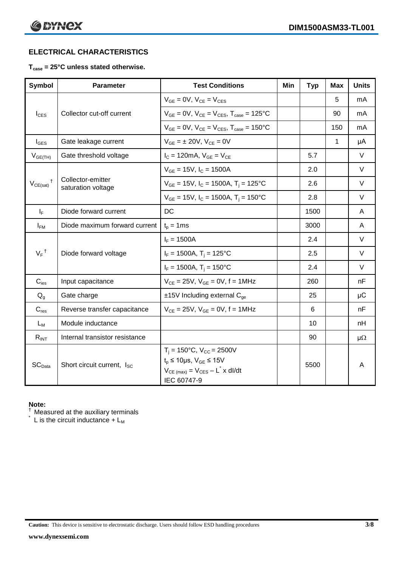# **ELECTRICAL CHARACTERISTICS**

## **Tcase = 25°C unless stated otherwise.**

| <b>Symbol</b>              | <b>Parameter</b>                        | <b>Test Conditions</b>                                                                                                                                   | Min | <b>Typ</b> | Max | <b>Units</b> |
|----------------------------|-----------------------------------------|----------------------------------------------------------------------------------------------------------------------------------------------------------|-----|------------|-----|--------------|
|                            |                                         | $V_{GE} = 0V$ , $V_{CE} = V_{CES}$                                                                                                                       |     |            | 5   | mA           |
| $I_{\text{CES}}$           | Collector cut-off current               | $V_{GF} = 0V$ , $V_{CE} = V_{CES}$ , $T_{case} = 125$ °C                                                                                                 |     |            | 90  | mA           |
|                            |                                         | $V_{GE} = 0V$ , $V_{CE} = V_{CES}$ , $T_{case} = 150^{\circ}C$                                                                                           |     |            | 150 | mA           |
| $I_{\text{GES}}$           | Gate leakage current                    | $V_{GE} = \pm 20V$ , $V_{CE} = 0V$                                                                                                                       |     |            | 1   | μA           |
| $V_{GE(TH)}$               | Gate threshold voltage                  | $I_C = 120 \text{mA}, V_{GE} = V_{CE}$                                                                                                                   |     | 5.7        |     | V            |
|                            |                                         | $V_{GE}$ = 15V, $I_C$ = 1500A                                                                                                                            |     | 2.0        |     | V            |
| $V_{CE(sat)}$ <sup>†</sup> | Collector-emitter<br>saturation voltage | $V_{GE}$ = 15V, I <sub>C</sub> = 1500A, T <sub>i</sub> = 125°C                                                                                           |     | 2.6        |     | $\vee$       |
|                            |                                         | $V_{GE}$ = 15V, $I_C$ = 1500A, $T_i$ = 150°C                                                                                                             |     | 2.8        |     | V            |
| $I_F$                      | Diode forward current                   | DC                                                                                                                                                       |     | 1500       |     | A            |
| $I_{FM}$                   | Diode maximum forward current           | $t_p = 1$ ms                                                                                                                                             |     | 3000       |     | A            |
|                            |                                         | $I_F = 1500A$                                                                                                                                            |     | 2.4        |     | $\vee$       |
| $V_F$ <sup>†</sup>         | Diode forward voltage                   | $I_F = 1500A, T_j = 125^{\circ}C$                                                                                                                        |     | 2.5        |     | $\vee$       |
|                            |                                         | $I_F = 1500A$ , $T_i = 150^{\circ}C$                                                                                                                     |     | 2.4        |     | $\vee$       |
| $C_{\text{ies}}$           | Input capacitance                       | $V_{CE} = 25V$ , $V_{GE} = 0V$ , $f = 1MHz$                                                                                                              |     | 260        |     | nF           |
| $Q_q$                      | Gate charge                             | $±15V$ Including external C <sub>ge</sub>                                                                                                                |     | 25         |     | $\mu$ C      |
| $C_{res}$                  | Reverse transfer capacitance            | $V_{CE} = 25V$ , $V_{GE} = 0V$ , f = 1MHz                                                                                                                |     | 6          |     | nF           |
| $L_M$                      | Module inductance                       |                                                                                                                                                          |     | 10         |     | nH           |
| $R_{INT}$                  | Internal transistor resistance          |                                                                                                                                                          |     | 90         |     | $\mu\Omega$  |
| SC <sub>Data</sub>         | Short circuit current, I <sub>SC</sub>  | $T_i = 150^{\circ}C$ , $V_{CC} = 2500V$<br>$t_p \le 10 \mu s$ , $V_{GE} \le 15V$<br>$V_{CE \ (max)} = V_{CES} - L^{\dagger} \times dl/dt$<br>IEC 60747-9 |     | 5500       |     | A            |

#### **Note:**

 $\dagger$  Measured at the auxiliary terminals

 $\check{}$  L is the circuit inductance + L<sub>M</sub>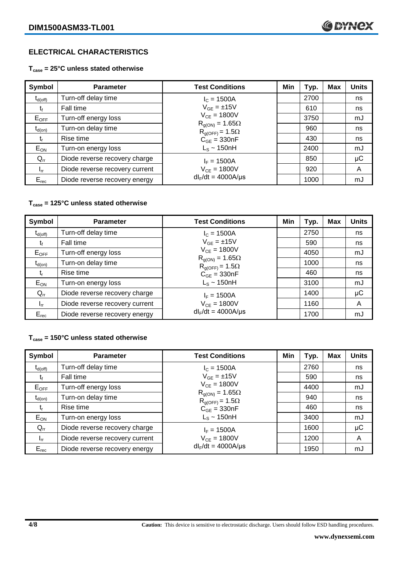# **ELECTRICAL CHARACTERISTICS**

#### **Tcase = 25°C unless stated otherwise**

| Symbol              | <b>Parameter</b>               | <b>Test Conditions</b>                               | Min | Typ. | <b>Max</b> | <b>Units</b> |
|---------------------|--------------------------------|------------------------------------------------------|-----|------|------------|--------------|
| $t_{d(\text{off})}$ | Turn-off delay time            | $I_c = 1500A$                                        |     | 2700 |            | ns           |
| t                   | Fall time                      | $V_{GF} = \pm 15V$                                   |     | 610  |            | ns           |
| $E_{OFF}$           | Turn-off energy loss           | $V_{CE} = 1800V$                                     |     | 3750 |            | mJ           |
| $t_{d(on)}$         | Turn-on delay time             | $R_{q(ON)} = 1.65\Omega$<br>$R_{g(OFF)} = 1.5\Omega$ |     | 960  |            | ns           |
| t,                  | Rise time                      | $C_{GE} = 330nF$                                     |     | 430  |            | ns           |
| $E_{ON}$            | Turn-on energy loss            | $L_s \sim 150$ nH                                    |     | 2400 |            | mJ           |
| $Q_{rr}$            | Diode reverse recovery charge  | $I_F = 1500A$                                        |     | 850  |            | $\mu$ C      |
| $I_{rr}$            | Diode reverse recovery current | $V_{CE} = 1800V$                                     |     | 920  |            | A            |
| $E_{rec}$           | Diode reverse recovery energy  | $dl_F/dt = 4000A/\mu s$                              |     | 1000 |            | mJ           |

#### **Tcase = 125°C unless stated otherwise**

| Symbol       | <b>Parameter</b>               | <b>Test Conditions</b>                               | Min | Typ. | <b>Max</b> | <b>Units</b> |
|--------------|--------------------------------|------------------------------------------------------|-----|------|------------|--------------|
| $t_{d(off)}$ | Turn-off delay time            | $I_c = 1500A$                                        |     | 2750 |            | ns           |
| t            | Fall time                      | $V_{GE} = \pm 15V$                                   |     | 590  |            | ns           |
| $E_{OFF}$    | Turn-off energy loss           | $V_{CE} = 1800V$                                     |     | 4050 |            | mJ           |
| $t_{d(on)}$  | Turn-on delay time             | $R_{g(ON)} = 1.65\Omega$<br>$R_{q(OFF)} = 1.5\Omega$ |     | 1000 |            | ns           |
| t,           | Rise time                      | $C_{GE}$ = 330nF                                     |     | 460  |            | ns           |
| $E_{ON}$     | Turn-on energy loss            | $L_s \sim 150$ nH                                    |     | 3100 |            | mJ           |
| $Q_{rr}$     | Diode reverse recovery charge  | $I_F = 1500A$                                        |     | 1400 |            | μC           |
| $I_{rr}$     | Diode reverse recovery current | $V_{CE} = 1800V$                                     |     | 1160 |            | A            |
| $E_{rec}$    | Diode reverse recovery energy  | $dl_F/dt = 4000A/\mu s$                              |     | 1700 |            | mJ           |

#### **Tcase = 150°C unless stated otherwise**

| Symbol       | <b>Parameter</b>               | <b>Test Conditions</b>                               | Min | Typ. | Max | <b>Units</b> |
|--------------|--------------------------------|------------------------------------------------------|-----|------|-----|--------------|
| $t_{d(off)}$ | Turn-off delay time            | $I_c = 1500A$                                        |     | 2760 |     | ns           |
| tr           | Fall time                      | $V_{GF} = \pm 15V$                                   |     | 590  |     | ns           |
| $E_{OFF}$    | Turn-off energy loss           | $V_{CF} = 1800V$                                     |     | 4400 |     | mJ           |
| $t_{d(on)}$  | Turn-on delay time             | $R_{g(ON)} = 1.65\Omega$<br>$R_{g(OFF)} = 1.5\Omega$ |     | 940  |     | ns           |
| t,           | Rise time                      | $C_{GE} = 330nF$                                     |     | 460  |     | ns           |
| $E_{ON}$     | Turn-on energy loss            | $L_s \sim 150$ nH                                    |     | 3400 |     | mJ           |
| $Q_{rr}$     | Diode reverse recovery charge  | $I_F = 1500A$                                        |     | 1600 |     | μC           |
| $I_{rr}$     | Diode reverse recovery current | $V_{CE} = 1800V$                                     |     | 1200 |     | A            |
| $E_{rec}$    | Diode reverse recovery energy  | $dl_F/dt = 4000A/\mu s$                              |     | 1950 |     | mJ           |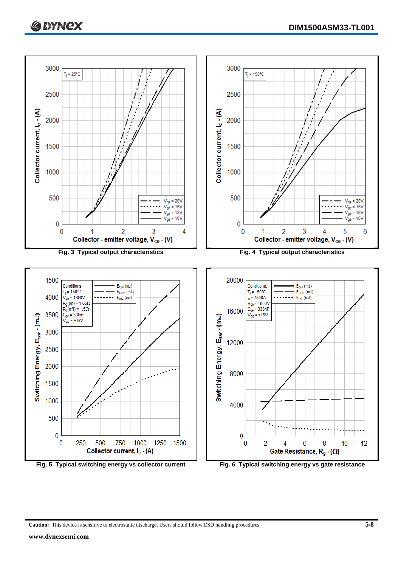



**Caution:** This device is sensitive to electrostatic discharge. Users should follow ESD handling procedures **5/8**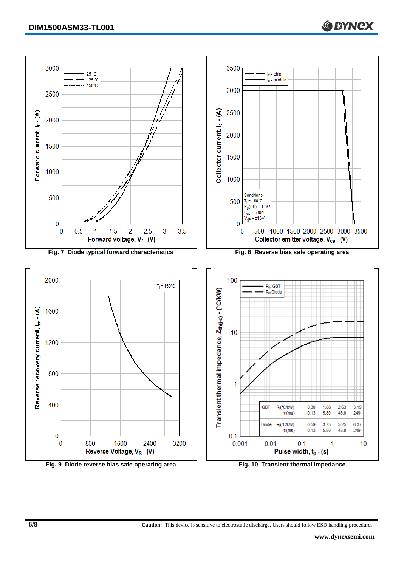

**Fig. 9 Diode reverse bias safe operating area Fig. 10 Transient thermal impedance**

**6/8 Caution:** This device is sensitive to electrostatic discharge. Users should follow ESD handling procedures.

**C SYNCX**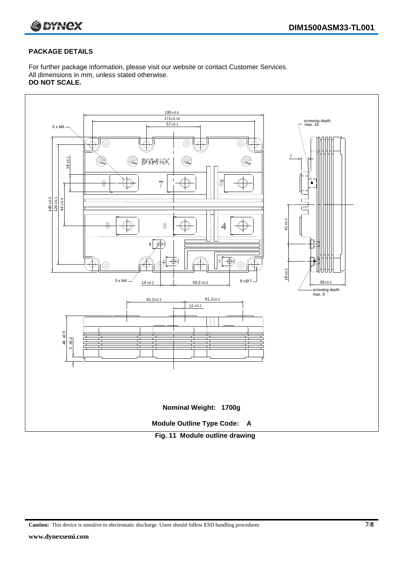

#### **PACKAGE DETAILS**

For further package information, please visit our website or contact Customer Services. All dimensions in mm, unless stated otherwise. **DO NOT SCALE.**



**Caution:** This device is sensitive to electrostatic discharge. Users should follow ESD handling procedures **7/8**